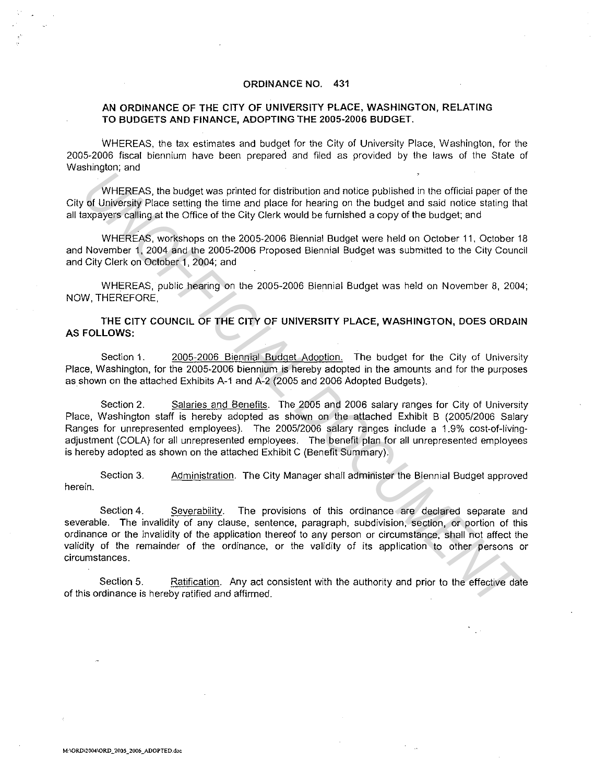### ORDINANCE NO. 431

### AN ORDINANCE OF THE CITY OF UNIVERSITY PLACE, WASHINGTON, RELATING TO BUDGETS AND FINANCE, ADOPTING THE 2005-2006 BUDGET.

WHEREAS, the tax estimates and budget for the City of University Place, Washington, for the 2005-2006 fiscal biennium have been prepared and filed as provided by the laws of the State of Washington; and

WHEREAS, the budget was printed for distribution and notice published in the official paper of the City of University Place setting the time and place for hearing on the budget and said notice stating that all taxpayers calling at the Office of the City Clerk would be furnished a copy of the budget; and

WHEREAS, workshops on the 2005-2006 Biennial Budget were held on October 11. October 18 and November 1, 2004 and the 2005-2006 Proposed Biennial Budget was submitted to the City Council and City Clerk on October 1, 2004; and

WHEREAS, public hearing on the 2005-2006 Biennial Budget was held on November 8, 2004; NOW, THEREFORE,

THE CITY COUNCIL OF THE CITY OF UNIVERSITY PLACE, WASHINGTON, DOES ORDAIN AS FOLLOWS:

Section 1. 2005-2006 Biennial Budget Adoption. The budget for the City of University Place, Washington, for the 2005-2006 biennium is hereby adopted in the amounts and for the purposes as shown on the attached Exhibits A-1 and A-2 (2005 and 2006 Adopted Budgets).

Section 2. Salaries and Benefits. The 2005 and 2006 salary ranges for City of University Place, Washington staff is hereby adopted as shown on the attached Exhibit B (2005/2006 Salary Ranges for unrepresented employees). The 2005/2006 salary ranges include a 1.9% cost-of-livingadjustment (COLA) for all unrepresented employees. The benefit plan for all unrepresented employees is hereby adopted as shown on the attached Exhibit C (Benefit Summary). WHEREAS, the budget was printed for distribution and notice published in the official paper of the **Voluments** of the University Place atting the time and place for hearing on the budget and said notice staing the propert

Section 3. Administration. The City Manager shall administer the Biennial Budget approved herein.

Section 4. Severability. The provisions of this ordinance are declared separate and severable. The invalidity of any clause, sentence, paragraph, subdivision, section, or portion of this ordinance or the invalidity of the application thereof to any person or circumstance, shall not affect the validity of the remainder of the ordinance, or the validity of its application to other persons or circumstances.

Section 5. Ratification. Any act consistent with the authority and prior to the effective date of this ordinance is hereby ratified and affirmed.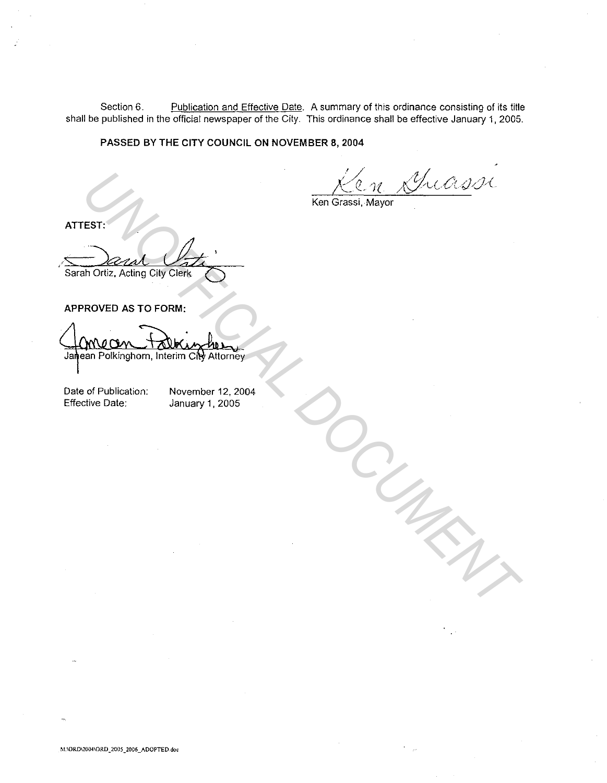Section 6. Publication and Effective Date. A summary of this ordinance consisting of its title shall be published in the official newspaper of the City. This ordinance shall be effective January 1, 2005.

**PASSED BY THE CITY COUNCIL ON NOVEMBER 8, 2004** 

Guassi

*DOCUMENT*

Ken Grassi, Mayor

**ATTEST:**  Sarah Ortiz, Acting City Clerk EST:<br> **And Orliz, Acting City Clerk**<br>
PROVED AS TO FORM:<br>
PROVED AS TO FORM:<br>
PROVED AS TO FORM:<br>
PROVED AS TO FORM:<br>
PROVED AS TO FORM:<br>
PROVED AS TO FORM:<br>
PROVED AS TO FORM:<br>
PROVED AS TO FORM:<br>
PROVED AS TO FORM:<br>
PROV

**APPROVED AS TO FORM:** 

Date of Publication: Effective Date:

November 12, 2004 January 1, 2005

**M. IORD\2004\0RD \_ 2005 \_ 2006 \_ADOPTED.do•**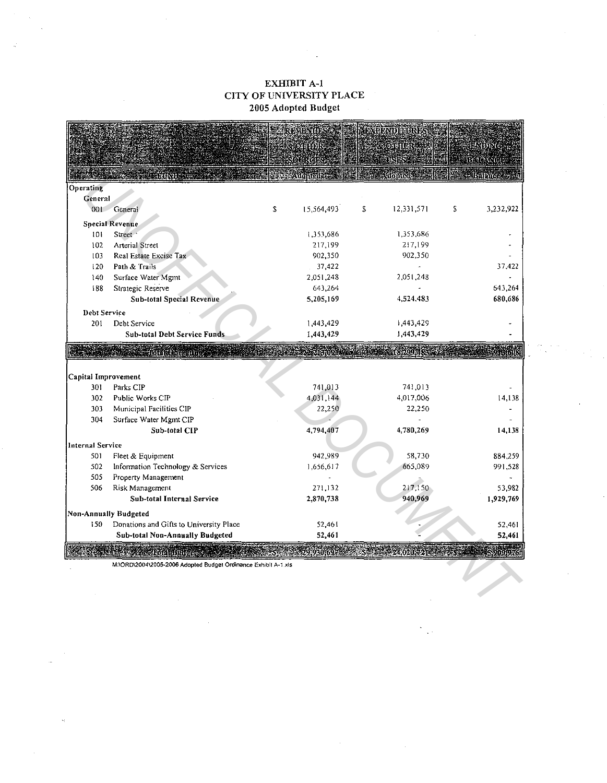## EXHIBIT A-1 CITY OF UNIVERSITY PLACE 2005 Adopted Budget

|                            |                                                               |   | remondo                  | MOMDININS,                                   |   |                     |
|----------------------------|---------------------------------------------------------------|---|--------------------------|----------------------------------------------|---|---------------------|
|                            |                                                               |   | KQIHILIN                 | ORILA                                        |   | $400\,\mathrm{MeV}$ |
|                            |                                                               |   | <b>ourcis</b>            | tisnes                                       |   | BAINGE              |
|                            | <b>EXTERNATION TELEPHONE</b>                                  |   | <b>Manual Adopted by</b> | <b>Roll Ndopted State</b>                    |   | <b>Balance</b>      |
| Operating                  |                                                               |   |                          |                                              |   |                     |
| General                    |                                                               |   |                          |                                              |   |                     |
| 001                        | General                                                       | S | 15,564,493               | S<br>12,331,571                              | S | 3,232,922           |
|                            | <b>Special Revenue</b>                                        |   |                          |                                              |   |                     |
| 101                        | Street                                                        |   | 1,353,686                | 1,353,686                                    |   |                     |
| 102                        | <b>Arterial Street</b>                                        |   | 217,199                  | 217,199                                      |   |                     |
| 103                        | Real Estate Excise Tax                                        |   | 902.350                  | 902,350                                      |   |                     |
| 120                        | Path & Trails                                                 |   | 37,422                   |                                              |   | 37,422              |
| 140                        | Surface Water Mgmt                                            |   | 2,051.248                | 2,051.248                                    |   |                     |
| 188                        | Strategic Reserve                                             |   | 643.264                  |                                              |   | 643,264             |
|                            | Sub-total Special Revenue                                     |   | 5,205,169                | 4,524,483                                    |   | 680,686             |
| Debt Service               |                                                               |   |                          |                                              |   |                     |
| 201                        | Debt Service                                                  |   | 1,443,429                | 1,443,429                                    |   |                     |
|                            | <b>Sub-total Debt Service Funds</b>                           |   | 1,443,429                | 1,443,429                                    |   |                     |
|                            | <b>State Robert Alice</b>                                     |   | <b>ISRODIARES</b>        |                                              |   |                     |
|                            |                                                               |   |                          |                                              |   |                     |
| Capital Improvement<br>301 | Parks CIP                                                     |   | 741,013                  | 741,013                                      |   |                     |
| 302                        | Public Works CIP                                              |   | 4,031,144                | 4,017,006                                    |   | 14,138              |
| 303                        | Municipal Facilities CIP                                      |   | 22,250                   | 22,250                                       |   |                     |
| 304                        | Surface Water Mgmt CIP                                        |   |                          |                                              |   |                     |
|                            | Sub-total CIP                                                 |   | 4,794,407                | 4,780,269                                    |   | 14,138              |
| <b>Internal Service</b>    |                                                               |   |                          |                                              |   |                     |
| 501                        | Fleet & Equipment                                             |   | 942.989                  | 58,730                                       |   | 884 259             |
| 502                        | Information Technology & Services                             |   | 1,656.617                | 665,089                                      |   | 991,528             |
| 505                        | Property Management                                           |   |                          |                                              |   |                     |
| 506                        | Risk Management                                               |   | 271.132                  | 217,150                                      |   | 53.982              |
|                            | Sub-total Internal Service                                    |   | 2,870.738                | 940,969                                      |   | 1,929,769           |
|                            | Non-Annually Budgeted                                         |   |                          |                                              |   |                     |
| 150                        | Donations and Gifts to University Place                       |   | 52,461                   |                                              |   | 52,461              |
|                            | Sub-total Non-Annually Budgeted                               |   | 52,461                   |                                              |   | 52,461              |
|                            | <b>SEARCH Budges</b>                                          |   |                          | $9.930.6972 \leq 5$ , $1.4020.721$ , $1.625$ |   | 59091970            |
|                            | MAORD\2004\2005-2006 Adopted Budget Ordinance Exhibit A-1.xls |   |                          |                                              |   |                     |
|                            |                                                               |   |                          |                                              |   |                     |
|                            |                                                               |   |                          |                                              |   |                     |
|                            |                                                               |   |                          |                                              |   |                     |
|                            |                                                               |   |                          |                                              |   |                     |

 $\sim$ 

 $\frac{2\pi}{\pi} \frac{1}{\sqrt{2}}$ 

 $\bar{\beta}$ 

 $\sim$ 

 $\frac{1}{\sqrt{2}}$ 

l,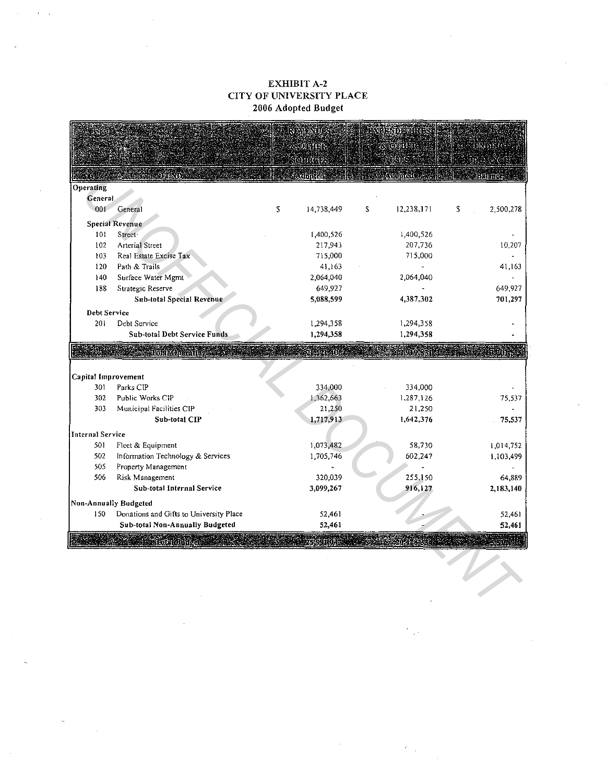## EXHIBIT A-2 CITY OF UNIVERSITY PLACE 2006 Adopted Budget

 $\mathbf{r}$  $\sim$ 

|                         |                                         | JA SAN U         |   | RÍH <b>PADL</b> achtsc |                 |
|-------------------------|-----------------------------------------|------------------|---|------------------------|-----------------|
|                         |                                         | 00000            |   | 16) 1991.              |                 |
|                         |                                         | SOURCERS         |   |                        |                 |
|                         |                                         | <b>sampled</b>   |   | <b>A Propici</b>       | 建铝压的            |
| Operating               |                                         |                  |   |                        |                 |
| General.                |                                         |                  |   |                        |                 |
| 001                     | General                                 | \$<br>14,738,449 | S | 12,238,171             | \$<br>2,500,278 |
|                         | Special Revenue                         |                  |   |                        |                 |
| 101                     | Street <sup>-</sup>                     | 1,400,526        |   | 1,400,526              |                 |
| 102                     | Arterial Street                         | 217,943          |   | 207,736                | 10,207          |
| 103                     | Real Estate Excise Tax                  | 715,000          |   | 715,000                |                 |
| 120                     | Path & Trails                           | 41,163           |   |                        | 41,163          |
| 140                     | Surface Water Mgmt                      | 2,064,040        |   | 2,064,040              |                 |
| 138                     | Strategic Reserve                       | 649,927          |   |                        | 649,927         |
|                         | <b>Sub-total Special Revenue</b>        | 5,088,599        |   | 4,387,302              | 701,297         |
| Debt Service            |                                         |                  |   |                        |                 |
| 201                     | Debt Service                            | 1,294,358        |   | 1,294,358              |                 |
|                         | <b>Sub-total Debt Service Funds</b>     | 1,294,358        |   | 1,294,358              |                 |
|                         | <b>Total Operating 22</b>               |                  |   |                        |                 |
| Capital Improvement     |                                         |                  |   |                        |                 |
| 301                     | Parks CIP                               | 334,000          |   | 334,000                |                 |
| 302                     | Public Works CIP                        | 1,362,663        |   | 1,287,126              | 75,537          |
| 303                     | Municipal Facilities CIP                | 21,250           |   | 21,250                 |                 |
|                         | Sub-total CIP                           | 1,717,913        |   | 1,642,376              | 75,537          |
| <b>Internal Service</b> |                                         |                  |   |                        |                 |
| 501                     | Fleet & Equipment                       | 1,073,482        |   | 58,730                 | 1,014,752       |
| 502                     | Information Technology & Services       | 1,705,746        |   | 602,247                | 1,103,499       |
| 505                     | Property Management                     |                  |   |                        |                 |
| 506                     | Risk Management                         | 320,039          |   | 255,150                | 64,889          |
|                         | Sub-total Internal Service              | 3,099,267        |   | 916,127                | 2,183,140       |
|                         | Non-Annually Budgeted                   |                  |   |                        |                 |
| 150                     | Donations and Gifts to University Place | 52,461           |   |                        | 52,461          |
|                         | Sub-total Non-Annually Budgeted         | 52,461           |   |                        | 52,461          |
|                         | itotet Budget                           |                  |   |                        |                 |
|                         |                                         |                  |   |                        |                 |
|                         |                                         |                  |   |                        |                 |
|                         |                                         |                  |   |                        |                 |
|                         |                                         |                  |   |                        |                 |
|                         |                                         |                  |   |                        |                 |

 $\label{eq:2} \frac{d}{dt}\sum_{i=1}^n\frac{d}{dt}\sum_{j=1}^n\frac{d}{dt} \int_{-\infty}^{\infty}d\tau\int_{-\infty}^{\infty}d\tau\int_{-\infty}^{\infty}d\tau\int_{-\infty}^{\infty}d\tau\int_{-\infty}^{\infty}d\tau\int_{-\infty}^{\infty}d\tau\int_{-\infty}^{\infty}d\tau\int_{-\infty}^{\infty}d\tau\int_{-\infty}^{\infty}d\tau\int_{-\infty}^{\infty}d\tau\int_{-\infty}^{\infty}d\tau\int_{-\infty}^{\infty$ 

 $\sim$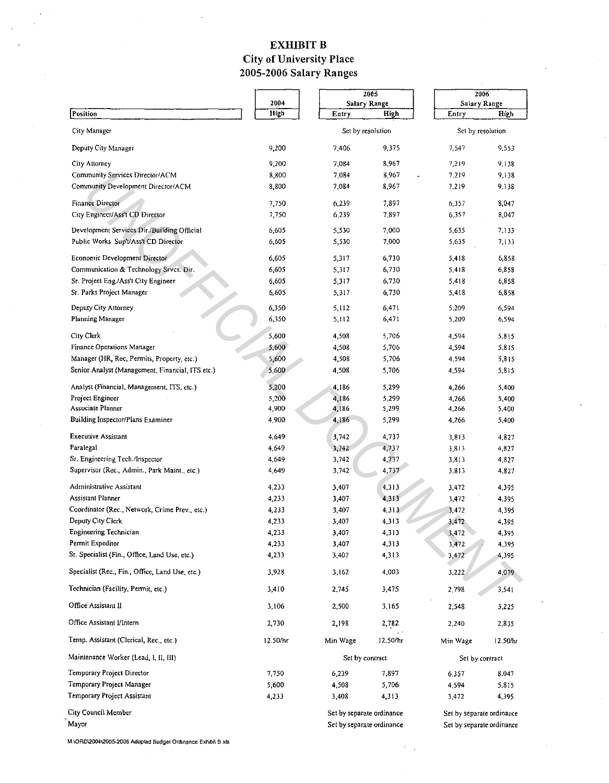## EXHIBIT B City of University Place 2005-2006 Salary Ranges

|                                                  |          |                                    | 2005                                                   |                           | 2006     |  |
|--------------------------------------------------|----------|------------------------------------|--------------------------------------------------------|---------------------------|----------|--|
|                                                  | 2004     |                                    | Salary Range                                           | Salary Range              |          |  |
| Position                                         | High     | Entry                              | High                                                   | Entry                     | High     |  |
| City Manager                                     |          | Set by resolution                  |                                                        | Set by resolution         |          |  |
| Deputy City Manager                              | 9.200    | 7,406                              | 9.375                                                  | 7.547                     | 9,553    |  |
| City Attorney                                    | 9,200    | 7,084                              | 8,967                                                  | 7.219                     | 9,138    |  |
| Community Services Director/ACM                  | 8,800    | 7,084                              | 8,967                                                  | 7.219                     | 9,138    |  |
| Community Development Director/ACM               | 8,800    | 7,084                              | 8,967                                                  | 7.219                     | 9.138    |  |
| Finance Director                                 | 7,750    | 6,239                              | 7,897                                                  | 6,357                     | 8,047    |  |
| City Engineer/Ass't CD Director                  | 7,750    | 6,239                              | 7,897                                                  | 6.357                     | 8,047    |  |
| Development Services Dir./Building Official      | 6.605    | 5,530                              | 7,000                                                  | 5.635                     | 7,133    |  |
| Public Works Sup't/Ass't CD Director             | 6.605    | 5,530                              | 7,000                                                  | 5,635                     | 7,133    |  |
| Economic Development Director                    | 6,605    | 5,317                              | 6,730                                                  | 5,418                     | 6,858    |  |
| Communication & Technology Srvcs. Dir.           | 6,605    | 5,317                              | 6,730                                                  | 5,418                     | 6,858    |  |
| Sr. Project Eng./Ass't City Engineer             | 6,605    | 5,317                              | 6,730                                                  | 5,418                     | 6,858    |  |
| Sr. Parks Project Manager                        | 6,605    | 5,317                              | 6,730                                                  | 5,418                     | 6,858    |  |
| Deputy City Attorney                             | 6,350    | 5,112                              | 6,471                                                  | 5.209                     | 6,594    |  |
| Planning Manager                                 | 6,350    | 5,112                              | 6,471                                                  | 5,209                     | 6,594    |  |
| City Clerk                                       | 5,600    | 4,508                              | 5,706                                                  | 4,594                     | 5,815    |  |
| Finance Operations Manager                       | 5,600    | 4,508                              | 5,706                                                  | 4.594                     | 5,815    |  |
| Manager (HR, Rec, Permits, Property, etc.)       | 5,600    | 4,508                              | 5,706                                                  | 4.594                     | 5.815    |  |
| Senior Analyst (Management, Financial, ITS etc.) | 5,600    | 4,508                              | 5,706                                                  | 4,594                     | 5,815    |  |
| Analyst (Financial, Management, ITS, etc.)       | 5,200    | 4,186                              | 5,299                                                  | 4,266                     | 5,400    |  |
| Project Engineer                                 | 5.200    | 4,186                              | 5,299                                                  | 4.266                     | 5,400    |  |
| Associate Planner                                | 4,900    | 4,186                              | 5,299                                                  | 4,266                     | 5,400    |  |
| Building Inspector/Plans Examiner                | 4900     | 4,186                              | 5,299                                                  | 4.266                     | 5,400    |  |
| Executive Assistant                              | 4,649    | 3,742                              | 4,737                                                  | 3.813                     | 4,827    |  |
| Paralegal                                        | 4 6 4 9  | 3,742                              | 4,737                                                  | 3,813                     | 4,827    |  |
| Sr. Engineering Tech./Inspector                  | 4,649    | 3,742                              | 4,737                                                  | 3,813                     | 4,827    |  |
| Supervisor (Rec., Admin., Park Maint., etc.)     | 4,649    | 3,742                              | 4,737                                                  | 3,813                     | 4,827    |  |
| Administrative Assistant                         | 4,233    | 3,407                              | 4,313                                                  | 3,472                     | 4,395    |  |
| Assistant Planner                                | 4,233    | 3,407                              | 4,313                                                  | 3,472                     | 4,395    |  |
| Coordinator (Rec., Network, Crime Prev., etc.)   | 4,233    | 3,407                              | 4,313                                                  | 3,472                     | 4,395    |  |
| Deputy City Clerk                                | 4,233    | 3,407                              | 4,313                                                  | 3,472                     | 4,395    |  |
| Engineering Technician                           | 4,233    | 3,407                              | 4,313                                                  | 3,472                     | 4,395    |  |
| Permit Expeditor                                 | 4 2 3 3  | 3,407                              | 4,313                                                  | 3,472                     | 4,395    |  |
| Sr. Specialist (Fin., Office, Land Use, etc.)    | 4,233    | 3.407                              | 4,313                                                  | 3,472                     | 4,395    |  |
| Specialist (Rec., Fin., Office, Land Use, etc.)  | 3.928    | 3,162                              | 4,003                                                  | 3,222                     | 4.079    |  |
| Technician (Facility, Permit, etc.)              | 3,410    | 2,745                              | 3,475                                                  | 2,798                     | 3,541    |  |
| Office Assistant II                              | 3,106    | 2,500                              | 3,165                                                  | 2,548                     | 3,225    |  |
| Office Assistant Mntern                          | 2,730    | 2,198                              | 2,782                                                  | 2,240                     | 2,835    |  |
| Temp. Assistant (Clerical, Rec., etc.)           | 12.50/hr | Min Wage                           | 12.50/hr                                               | Min Wage                  | 12.50/br |  |
| Maintenance Worker (Lead, I, II, III)            |          | Set by contract<br>Set by contract |                                                        |                           |          |  |
| Temporary Project Director                       | 7,750    | 6,239                              | 7,897                                                  | 6,357                     | 8,047    |  |
| Temporary Project Manager                        | 5,600    | 4,508                              | 5,706                                                  | 4,594                     | 5,815    |  |
| Temporary Project Assistant                      | 4,233    | 3.408                              | 4,313                                                  | 3,472                     | 4,395    |  |
| City Council Member                              |          | Set by separate ordinance          |                                                        | Set by separate ordinance |          |  |
| Mayor                                            |          |                                    | Set by separate ordinance<br>Set by separate ordinance |                           |          |  |

 $\mathcal{L}$ 

M:IOR0\200412005-2006 Adopted 6udge1 Ordinance Exhibit 6 xis

 $\sim$   $\sim$